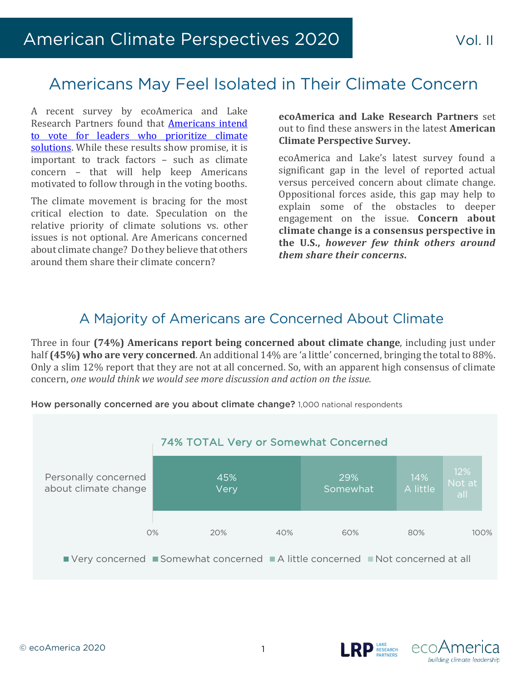# Americans May Feel Isolated in Their Climate Concern

A recent survey by ecoAmerica and Lake Research Partners found that **Americans intend** to vote for leaders who prioritize climate solutions. While these results show promise, it is important to track factors  $-$  such as climate concern - that will help keep Americans motivated to follow through in the voting booths.

The climate movement is bracing for the most critical election to date. Speculation on the relative priority of climate solutions vs. other issues is not optional. Are Americans concerned about climate change? Do they believe that others around them share their climate concern?

**ecoAmerica and Lake Research Partners** set out to find these answers in the latest **American Climate Perspective Survey.**

ecoAmerica and Lake's latest survey found a significant gap in the level of reported actual versus perceived concern about climate change. Oppositional forces aside, this gap may help to explain some of the obstacles to deeper engagement on the issue. **Concern about climate change is a consensus perspective in**  the U.S., *however few think others around them share their concerns***.**

## A Majority of Americans are Concerned About Climate

Three in four (74%) Americans report being concerned about climate change, including just under half (45%) who are very concerned. An additional 14% are 'a little' concerned, bringing the total to 88%. Only a slim 12% report that they are not at all concerned. So, with an apparent high consensus of climate concern, *one would think we would see more discussion and action on the issue.* 



How personally concerned are you about climate change? 1,000 national respondents





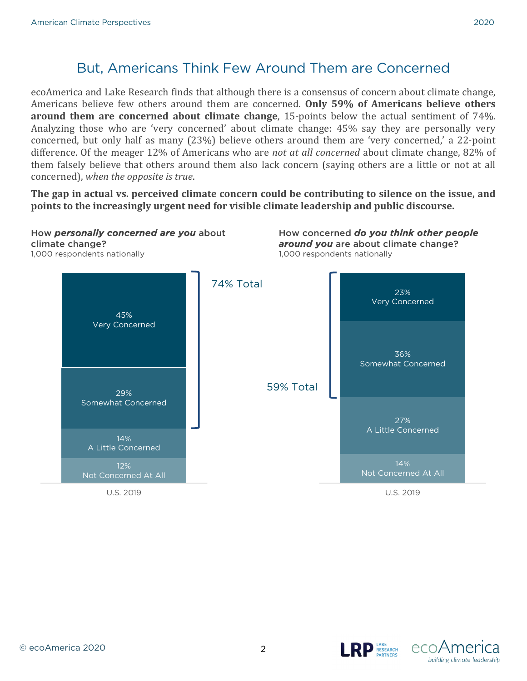## But, Americans Think Few Around Them are Concerned

ecoAmerica and Lake Research finds that although there is a consensus of concern about climate change, Americans believe few others around them are concerned. Only 59% of Americans believe others **around them are concerned about climate change,** 15-points below the actual sentiment of 74%. Analyzing those who are 'very concerned' about climate change: 45% say they are personally very concerned, but only half as many (23%) believe others around them are 'very concerned,' a 22-point difference. Of the meager 12% of Americans who are *not at all concerned* about climate change, 82% of them falsely believe that others around them also lack concern (saying others are a little or not at all concerned), when the opposite is true.

The gap in actual vs. perceived climate concern could be contributing to silence on the issue, and **points to the increasingly urgent need for visible climate leadership and public discourse.** 





**D** LAKE<br>RESEARCH